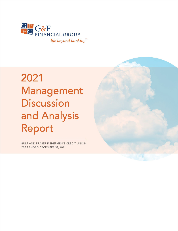

# 2021 Management **Discussion** and Analysis Report

GULF AND FRASER FISHERMEN'S CREDIT UNION YEAR ENDED DECEMBER 31, 2021

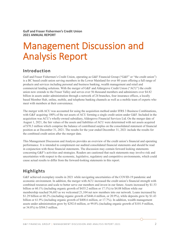**Gulf and Fraser Fishermen's Credit Union 2021 ANNUAL REPORT**

## Management Discussion and Analysis Report

### **Introduction**

Gulf and Fraser Fishermen's Credit Union, operating as G&F Financial Group ("G&F" or "the credit union") is a BC based credit union serving members in the Lower Mainland for over 80 years offering a full range of products and services including personal and business banking, wealth management and retail and commercial lending solutions. With the merger of G&F and Aldergrove Credit Union ("ACU") the credit union now extends to the Fraser Valley and serves over 56 thousand members and administers over \$4.82 billion in assets under administration through a network of 24 branches, four insurance offices, a locally based Member Hub, online, mobile, and telephone banking channels as well as a mobile team of experts who meet with members at their convenience.

The merger with ACU was accounted for using the acquisition method under IFRS 3 Business Combinations, with G&F acquiring 100% of the net assets of ACU forming a single credit union under G&F. Included in the acquisition was ACU's wholly-owned subsidiary, Aldergrove Financial Services Ltd. On the merger date of August 1, 2021, the fair values of the assets and liabilities of ACU were determined with net assets acquired of \$70.3 million which comprise the balance of contributed surplus on the consolidated statement of financial position as at December 31, 2021. The results for the year ended December 31, 2021 include the results for the combined credit union after the merger date.

This Management Discussion and Analysis provides an overview of the credit union's financial and operating performance. It is intended to complement our audited consolidated financial statements and should be read in conjunction with those financial statements. The discussion may contain forward looking statements concerning G&F's activities and strategies. Readers are cautioned that such statements may involve risk and uncertainties with respect to the economic, legislative, regulatory and competitive environments, which could cause actual results to differ from the forward-looking statements in this report.

## **Highlights**

G&F achieved exemplary results in 2021 while navigating uncertainties of the COVID-19 pandemic and economic environment. In addition, the merger with ACU increased the credit union's financial strength with combined resources and scale to better serve our members and invest in our future. Assets increased by \$1.53 billion or 60.1% (including organic growth of \$435.2 million or 17.1%) to \$4.08 billion while our membership reached 56,683 as we welcomed 21,104 net new members into our network. Loans increased by \$1.29 billion or 60.2% (including organic growth of \$446.4 million, or 20.9%), while deposits grew by \$1.43 billion or 61.9% (including organic growth of \$408.6 million, or 17.7%). In addition, wealth management assets under administration grew by \$292.0 million, or 99.8% (including organic growth of \$101.9 million, or 34.8%) to \$584.5 million.

G&F FINANCIAL GROUP | MANAGEMENT DISCUSSION AND ANALYSIS REPORT 2021 2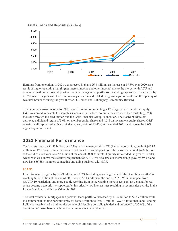**Assets, Loans and Deposits** (in \$millions)



Earnings from operations in 2021 was a record high at \$26.3 million, an increase of 57.8% over 2020, as a result of higher operating margin (net interest income and other income) due to the merger with ACU and organic growth in our loan, deposit and wealth management portfolios. Operating expenses also increased by 48.6% year over year with the combined organization and related merger/integration costs and the opening of two new branches during the year (Fraser St. Branch and Willoughby Community Branch).

Total comprehensive income for 2021 was \$17.6 million reflecting a 12.8% growth in members' equity. G&F was proud to be able to share this success with the local communities we serve by distributing \$968 thousand through the credit union and the G&F Financial Group Foundation. The Board of Directors approved a dividend return of 3.0% on member equity shares and 4.5% on investment equity shares. G&F remains well capitalized with a capital adequacy ratio of 15.42% at the end of 2021, well above the 8.0% regulatory requirement.

## **2021 Financial Performance**

Total assets grew by \$1.53 billion, or 60.1% with the merger with ACU (including organic growth of \$435.2 million, or 17.1%) reflecting increases in both our loan and deposit portfolio. Assets now total \$4.08 billion at the end of 2021 versus \$2.55 billion at the end of 2020. Our total liquidity ratio ended the year at 15.48%, which was well above the statutory requirement of 8.0%. We also saw our membership grow by 59.3% and now have 56,683 members connecting and doing business with G&F.

#### LOANS

Loans to members grew by \$1.29 billion, or 60.2% (including organic growth of \$446.4 million, or 20.9%) reaching \$3.42 billion at the end of 2021 versus \$2.13 billion at the end of 2020. With the impact from COVID-19 restrictions and more people working from home wanting more space, pent up demand for real estate became a top priority supported by historically low interest rates resulting in record sales activity in the Lower Mainland and Fraser Valley for 2021.

The total residential mortgages and personal loans portfolio increased by \$1.02 billion to \$2.49 billion while the commercial lending portfolio grew by \$266.7 million to \$933.1 million. G&F's Investment and Lending Policy has established a limit on the commercial lending portfolio (funded and unfunded) of 35.0% of the credit union's asset base which the credit union was in compliance.

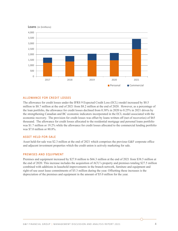



#### ALLOWANCE FOR CREDIT LOSSES

The allowance for credit losses under the IFRS 9 Expected Credit Loss (ECL) model increased by \$0.5 million to \$8.7 million at the end of 2021 from \$8.2 million at the end of 2020. However, as a percentage of the loan portfolio, the allowance for credit losses declined from 0.38% in 2020 to 0.25% in 2021 driven by the strengthening Canadian and BC economic indicators incorporated in the ECL model associated with the economic recovery. The provision for credit losses was offset by loans written off (net of recoveries) of \$65 thousand. The allowance for credit losses allocated to the residential mortgage and personal loans portfolio was \$1.7 million or 19.2% while the allowance for credit losses allocated to the commercial lending portfolio was \$7.0 million or 80.8%.

#### ASSET HELD-FOR-SALE

Asset held-for-sale was \$2.3 million at the end of 2021 which comprises the previous G&F corporate office and adjacent investment properties which the credit union is actively marketing for sale.

#### PREMISES AND EQUIPMENT

Premises and equipment increased by \$27.8 million to \$66.3 million at the end of 2021 from \$38.5 million at the end of 2020. This increase includes the acquisition of ACU's property and premises totaling \$27.5 million combined with additions in leasehold improvements in the branch network, furniture and equipment and right-of-use asset lease commitments of \$5.3 million during the year. Offsetting these increases is the depreciation of the premises and equipment in the amount of \$5.0 million for the year.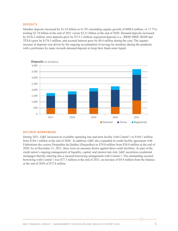#### DEPOSITS

Member deposits increased by \$1.43 billion or 61.9% (including organic growth of \$408.6 million, or 17.7%) totaling \$3.74 billion at the end of 2021 versus \$2.31 billion at the end of 2020. Demand deposits increased by \$536.2 million, term deposits grew by \$713.3 million, registered deposits (i.e., RRSP, RRIF, RESP and TFSA) grew by \$178.3 million, and accrued interest grew by \$0.4 million during the year. The organic increase in deposits was driven by the ongoing accumulation of savings by members during the pandemic with a preference by many towards demand deposits to keep their funds more liquid.



#### SECURED BORROWING

During 2021, G&F increased its available operating line and term facility with Central 1 to \$169.1 million from \$144.1 million at the end of 2020. In addition, G&F also expanded its credit facility agreement with Fédérations des caisses Desjardins du Québec (Desjardins) to \$70.0 million from \$30.0 million at the end of 2020. As at December 31, 2021, there were no amounts drawn against these credit facilities. As part of the credit union's ongoing management of liquidity, capital, and interest rate risk, G&F securitizes residential mortgages thereby entering into a secured borrowing arrangement with Central 1. The outstanding secured borrowing with Central 1 was \$77.3 million at the end of 2021, an increase of \$4.9 million from the balance at the end of 2020 of \$72.4 million.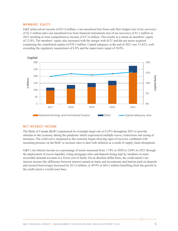#### MEMBERS' EQUITY

G&F achieved net income of \$21.0 million, a net unrealized loss from cash flow hedges (net of tax recovery) of \$2.2 million and a net unrealized loss from financial instruments (net of tax recovery) of \$1.2 million in 2021 resulting in total comprehensive income of \$17.6 million. This results in a return on members' equity of 12.8%. The members' equity also increased with the merger with ACU and the net assets acquired comprising the contributed surplus of \$70.3 million. Capital adequacy at the end of 2021 was 15.42%, well exceeding the regulatory requirement of 8.0% and the supervisory target of 10.0%.



#### NET INTEREST INCOME

The Bank of Canada (BofC) maintained its overnight target rate at 0.25% throughout 2021 to provide stimulus to the economy during the pandemic which experienced multiple waves, restrictions and easing of measures. The yield curve steepened as the economy began showing signs of recovery combined with mounting pressure on the BofC to increase rates to deal with inflation as a result of supply chain disruptions.

G&F's net interest income as a percentage of assets increased from 1.74% in 2020 to 2.04% in 2021 through the deployment of excess liquidity, rising mortgages rates and deposits being kept by members in more accessible demand accounts at a lower cost of funds. On an absolute dollar basis, the credit union's net interest income (the difference between interest earned on loans and investments and interest paid on deposits and secured borrowings) increased by \$21.4 million, or 49.9% to \$64.2 million benefiting from the growth in the credit union's overall asset base.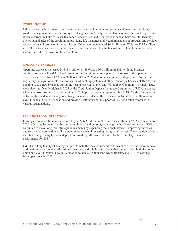#### OTHER INCOME

Other income includes member services income (such as loan fees and penalties, demand account fees, wealth management income and foreign exchange income), hedge ineffectiveness on cash flow hedges, other revenue earned by Gulf & Fraser Insurance Services Ltd. and Aldergrove Financial Services Ltd. (wholly owned subsidiaries of the credit union providing life insurance and wealth management products and services respectively) and provision for credit losses. Other income increased \$6.6 million or 57.2% to \$18.3 million in 2021 due to an increase in member services income related to a higher volume of loan fees and penalty fee income and a lower provision for credit losses.

#### OPERATING EXPENSES

Operating expenses increased by \$18.4 million or 48.6% to \$56.1 million in 2021 with the business combination of G&F and ACU and growth of the credit union. As a percentage of assets, the operating expenses increased from 1.53% in 2020 to 1.78% in 2021 due to the merger costs (legal, due diligence and regulatory), integration costs (harmonization of banking system and other technology licenses/platforms) and opening of two new branches during the year (Fraser St. Branch and Willoughby Community Branch). Dues were also significantly higher in 2021 as the Credit Union Deposit Insurance Corporation (CUDIC) assessed a lower deposit insurance premium rate in 2020 to provide some temporary relief to BC Credit Unions at the outset of the pandemic. Finally, our strong financial results in 2021 led us to contribute \$1.0 million to our G&F Financial Group Foundation and provide \$250 thousand in support of BC flood relief efforts with various organizations.

#### EARNINGS FROM OPERATIONS

Earnings from operations was a record high at \$26.3 million in 2021, up \$9.7 million or 57.8% compared to 2020 reflecting the benefit of the merger with ACU and ongoing organic growth of the credit union. G&F has continued to make long-term strategic investments by expanding the branch network, improving the sales and service delivery and overall member experience and investing in digital initiatives. The attraction of new members and growing the loan, deposit and wealth portfolios contributed to the exemplary financial performance for 2021.

G&F has a long history of sharing our profits with the local communities in which we live and serve by way of donations, sponsorships, educational bursaries, and scholarships. Total distributions from both the credit union and G&F Financial Group Foundation totaled \$968 thousand which translates to 3.7% of earnings from operations in 2021.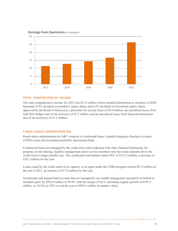

#### **Earnings from Operations** (in \$millions)

#### TOTAL COMPREHENSIVE INCOME

The total comprehensive income for 2021 was \$17.6 million which included distribution to members of \$562 thousand (3.0% dividend on members' equity shares and 4.5% dividend on investment equity shares approved by the Board of Directors), a provision for income taxes of \$4.8 million, net unrealized losses from cash flow hedges (net of tax recovery) of \$2.2 million and net unrealized losses from financial instruments (net of tax recovery) of \$1.2 million.

#### FUNDS UNDER ADMINISTRATION

Funds under administration by G&F comprise of syndicated loans, Canada Emergency Business Account (CEBA) loans and investment portfolios and mutual funds.

Commercial loans are managed by the credit union and syndicated with other financial institutions for purposes of risk sharing, liquidity management and to service members who have loan amounts above the credit union's single member cap. The syndicated loan balance ended 2021 at \$131.5 million, a decrease of \$39.3 million for the year.

Loans issued by the credit union in its capacity as an agent under the CEBA program totaled \$27.4 million at the end of 2021, an increase of \$17.6 million for the year.

Investments and mutual fund accounts that are managed by our wealth management specialists on behalf of members grew by \$292.0 million or 99.8% with the merger of ACU (including organic growth of \$101.9 million, or 34.8%) in 2021 to end the year at \$584.5 million (at market value).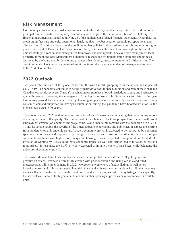## **Risk Management**

G&F is subject to a variety of risks that are inherent to the industry in which it operates. The credit union's principal risks are credit risk, liquidity risk and market risk given the nature of our business is holding financial instruments as identified in Note 23 of the audited consolidated financial statements. Other risks the credit union faces are strategic, operational, legal, regulatory, cyber security, technology, reputational and climate risks. To mitigate these risks the credit union has policies and procedures, controls and monitoring in place. The Board of Directors has overall responsibility for the establishment and oversight of the credit union's strategic direction, risk management framework and risk appetite. The executive management team, primarily through the Risk Management Function, is responsible for implementing strategies and policies approved by the board and for developing processes that identify, measure, monitor and mitigate risks. The credit union also has internal and external audit functions which are independent of management and report to the Audit Committee.

## **2022 Outlook**

Two years after the start of the global pandemic, the world is still grappling with the spread and impact of COVID-19. The pandemic continues to be the primary driver of the speed, duration and path of the global and Canadian economic recovery. Canada's vaccination program has allowed restrictions to ease and businesses to gradually reopen; however, the emergence of the highly transmissible Omicron variant late in the year temporarily paused the economic recovery. Ongoing supply chain disruptions, labour shortages and strong consumer demand supported by savings accumulation during the pandemic have boosted inflation to the highest levels seen in 30 years.

The economy enters 2022 with momentum and a broad set of measures are indicating that the economy is now operating at near full capacity. The labor market has bounced back to pre-pandemic levels with solid employment growth, job openings and wage gains. While uncertainty remains with the evolution of COVID-19 and its variant strains, the severity of the illness appears to be waning and public health stances are shifting from pandemic towards endemic status. As such, economic growth is expected to be robust, led by consumer spending on services and supported by strength in exports and business investments. Persistent supply constraints combined with higher food, energy and housing costs are expected to keep inflation elevated. The invasion of Ukraine by Russia could have economic impact as well and further lead to inflation on gas and food prices. In response, the BofC is widely expected to initiate a cycle of rate hikes while balancing the trajectory of economic growth.

The Lower Mainland and Fraser Valley real estate market posted record sales in 2021 putting upward pressure on prices. However, affordability erosion with price escalation and rising variable and fixed mortgage rates will temper demand in 2022. Moreover, the inventory of active listings is well below historical norms and if this continues to languish, this could activate a vicious cycle as insufficient inventory means sellers are unable to find suitable next homes and will choose instead to delay listings. Consequently, the severe lack of choice for buyers could become another upswing in prices as buyers compete for available units.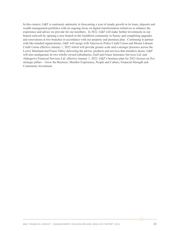In this context, G&F is cautiously optimistic in forecasting a year of steady growth in its loans, deposits and wealth management portfolios with an ongoing focus on digital transformation initiatives to enhance the experience and advice we provide for our members. In 2022, G&F will make further investments in our branch network by opening a new branch in the Guildford community in Surrey and completing upgrades and renovations at two branches in accordance with our property and premises plan. Continuing to partner with like-minded organizations, G&F will merge with Vancouver Police Credit Union and Mount Lehman Credit Union effective January 1, 2022 which will provide greater scale and a stronger presence across the Lower Mainland and Fraser Valley delivering the advice, products and services that members desire. G&F will also amalgamate its two wholly-owned subsidiaries, Gulf and Fraser Insurance Services Ltd. and Aldergrove Financial Services Ltd. effective January 1, 2022. G&F's business plan for 2022 focuses on five strategic pillars – Grow the Business, Member Experience, People and Culture, Financial Strength and Community Investment.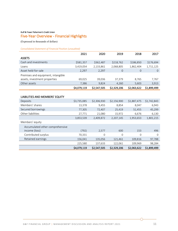#### Gulf & Fraser Fishermen's Credit Union

## Five-Year Overview - Financial Highlights

(Expressed in thousands of dollars)

*Consolidated Statement of Financial Position (unaudited)*

|                                    | 2021        | 2020        | 2019           | 2018         | 2017           |
|------------------------------------|-------------|-------------|----------------|--------------|----------------|
| <b>ASSETS</b>                      |             |             |                |              |                |
| Cash and investments               | \$581,357   | \$362,487   | \$218,762      | \$186,850    | \$176,694      |
| Loans                              | 3,419,054   | 2,133,861   | 2,068,805      | 1,862,404    | 1,711,125      |
| Asset held-for-sale                | 2,297       | 2,297       | $\overline{0}$ | $\mathbf{O}$ | $\overline{O}$ |
| Premises and equipment, intangible |             |             |                |              |                |
| assets, investment properties      | 69,025      | 39,036      | 37,379         | 8,765        | 7,767          |
| Other assets                       | 7,386       | 9,824       | 4,260          | 5,603        | 3,913          |
|                                    | \$4,079,119 | \$2,547,505 | \$2,329,206    | \$2,063,622  | \$1,899,499    |
|                                    |             |             |                |              |                |
| LIABILITIES AND MEMBERS' EQUITY    |             |             |                |              |                |
| Deposits                           | \$3,735,085 | \$2,306,930 | \$2,156,900    | \$1,887,475  | \$1,742,843    |
| Members' shares                    | 13,378      | 9,455       | 8,854          | 8,047        | 6,943          |
| Secured borrowings                 | 77,305      | 72,407      | 25,419         | 51,455       | 45,299         |
| Other liabilities                  | 27,771      | 21,080      | 15,972         | 6,676        | 6,130          |
|                                    | 3,853,539   | 2,409,872   | 2,207,145      | 1,953,653    | 1,801,215      |
| Members' equity                    |             |             |                |              |                |
| Accumulated other comprehensive    |             |             |                |              |                |
| income (loss)                      | (792)       | 2,577       | 600            | 153          | 496            |
| Contributed surplus                | 70,331      | 0           | $\mathbf 0$    | $\mathbf 0$  | $\mathbf{O}$   |
| Retained earnings                  | 156,041     | 135,056     | 121,461        | 109,816      | 97,788         |
|                                    | 225,580     | 137,633     | 122,061        | 109,969      | 98,284         |
|                                    | \$4,079,119 | \$2,547,505 | \$2,329,206    | \$2,063,622  | \$1,899,499    |

∩